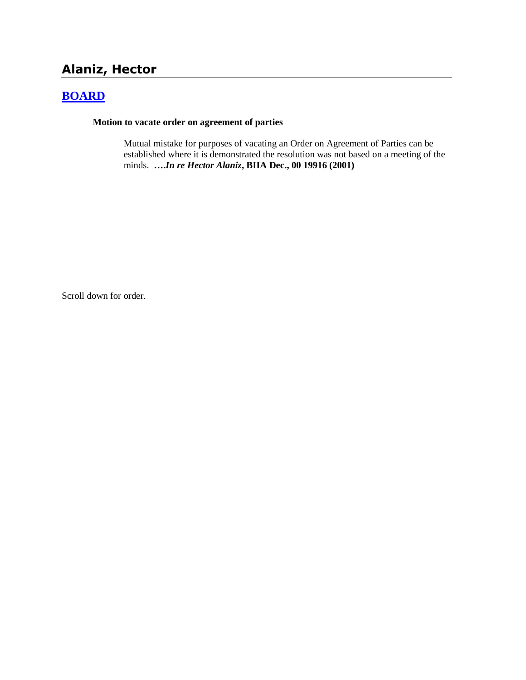# **Alaniz, Hector**

## **[BOARD](http://www.biia.wa.gov/SDSubjectIndex.html#BOARD)**

**Motion to vacate order on agreement of parties**

Mutual mistake for purposes of vacating an Order on Agreement of Parties can be established where it is demonstrated the resolution was not based on a meeting of the minds. **….***In re Hector Alaniz***, BIIA Dec., 00 19916 (2001)**

Scroll down for order.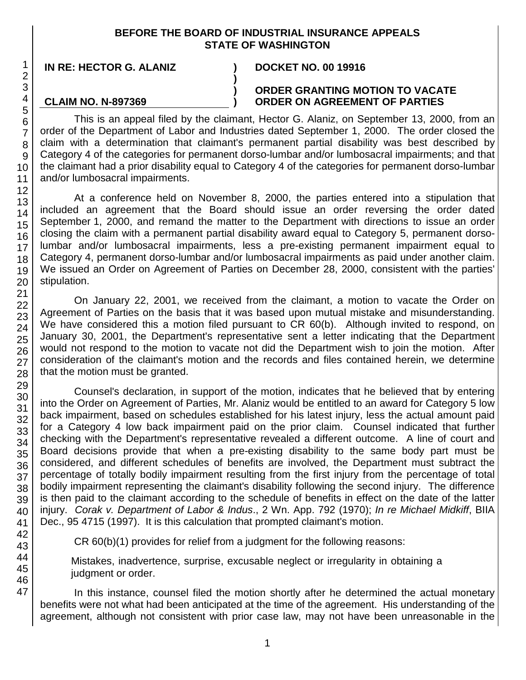### **BEFORE THE BOARD OF INDUSTRIAL INSURANCE APPEALS STATE OF WASHINGTON**

**) ) )**

**IN RE: HECTOR G. ALANIZ ) DOCKET NO. 00 19916**

**CLAIM NO. N-897369**

### **ORDER GRANTING MOTION TO VACATE ORDER ON AGREEMENT OF PARTIES**

This is an appeal filed by the claimant, Hector G. Alaniz, on September 13, 2000, from an order of the Department of Labor and Industries dated September 1, 2000. The order closed the claim with a determination that claimant's permanent partial disability was best described by Category 4 of the categories for permanent dorso-lumbar and/or lumbosacral impairments; and that the claimant had a prior disability equal to Category 4 of the categories for permanent dorso-lumbar and/or lumbosacral impairments.

At a conference held on November 8, 2000, the parties entered into a stipulation that included an agreement that the Board should issue an order reversing the order dated September 1, 2000, and remand the matter to the Department with directions to issue an order closing the claim with a permanent partial disability award equal to Category 5, permanent dorsolumbar and/or lumbosacral impairments, less a pre-existing permanent impairment equal to Category 4, permanent dorso-lumbar and/or lumbosacral impairments as paid under another claim. We issued an Order on Agreement of Parties on December 28, 2000, consistent with the parties' stipulation.

On January 22, 2001, we received from the claimant, a motion to vacate the Order on Agreement of Parties on the basis that it was based upon mutual mistake and misunderstanding. We have considered this a motion filed pursuant to CR 60(b). Although invited to respond, on January 30, 2001, the Department's representative sent a letter indicating that the Department would not respond to the motion to vacate not did the Department wish to join the motion. After consideration of the claimant's motion and the records and files contained herein, we determine that the motion must be granted.

Counsel's declaration, in support of the motion, indicates that he believed that by entering into the Order on Agreement of Parties, Mr. Alaniz would be entitled to an award for Category 5 low back impairment, based on schedules established for his latest injury, less the actual amount paid for a Category 4 low back impairment paid on the prior claim. Counsel indicated that further checking with the Department's representative revealed a different outcome. A line of court and Board decisions provide that when a pre-existing disability to the same body part must be considered, and different schedules of benefits are involved, the Department must subtract the percentage of totally bodily impairment resulting from the first injury from the percentage of total bodily impairment representing the claimant's disability following the second injury. The difference is then paid to the claimant according to the schedule of benefits in effect on the date of the latter injury. *Corak v. Department of Labor & Indus*., 2 Wn. App. 792 (1970); *In re Michael Midkiff*, BIIA Dec., 95 4715 (1997). It is this calculation that prompted claimant's motion.

CR 60(b)(1) provides for relief from a judgment for the following reasons:

Mistakes, inadvertence, surprise, excusable neglect or irregularity in obtaining a judgment or order.

In this instance, counsel filed the motion shortly after he determined the actual monetary benefits were not what had been anticipated at the time of the agreement. His understanding of the agreement, although not consistent with prior case law, may not have been unreasonable in the